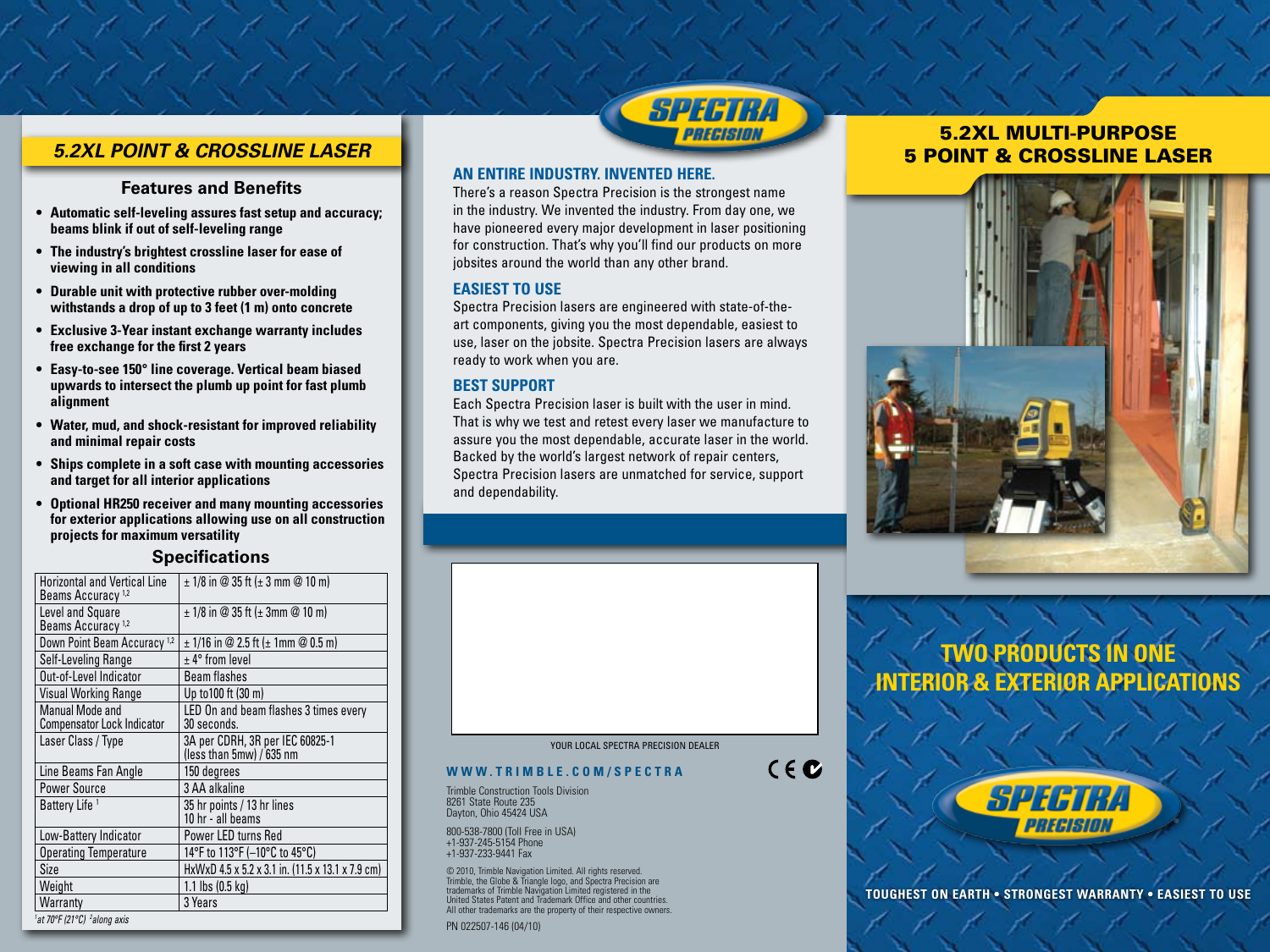## *5.2XL POINT & CROSSLINE LASER*

### **Features and Benefits**

- **• Automatic self-leveling assures fast setup and accuracy; beams blink if out of self-leveling range**
- **• The industry's brightest crossline laser for ease of viewing in all conditions**
- **• Durable unit with protective rubber over-molding withstands a drop of up to 3 feet (1 m) onto concrete**
- **• Exclusive 3-Year instant exchange warranty includes free exchange for the first 2 years**
- **• Easy-to-see 150° line coverage. Vertical beam biased upwards to intersect the plumb up point for fast plumb alignment**
- **• Water, mud, and shock-resistant for improved reliability and minimal repair costs**
- **• Ships complete in a soft case with mounting accessories and target for all interior applications**
- **• Optional HR250 receiver and many mounting accessories for exterior applications allowing use on all construction projects for maximum versatility**

### **Specifications**

| <b>Horizontal and Vertical Line</b><br>Beams Accuracy <sup>1,2</sup> | $\pm$ 1/8 in @ 35 ft ( $\pm$ 3 mm @ 10 m)                   |
|----------------------------------------------------------------------|-------------------------------------------------------------|
| Level and Square<br>Beams Accuracy <sup>1,2</sup>                    | $\pm$ 1/8 in @ 35 ft ( $\pm$ 3mm @ 10 m)                    |
| Down Point Beam Accuracy <sup>1,2</sup>                              | $\pm$ 1/16 in @ 2.5 ft ( $\pm$ 1mm @ 0.5 m)                 |
| Self-Leveling Range                                                  | $±$ 4 $^{\circ}$ from level                                 |
| Out-of-Level Indicator                                               | Beam flashes                                                |
| Visual Working Range                                                 | Up to 100 ft (30 m)                                         |
| <b>Manual Mode and</b><br><b>Compensator Lock Indicator</b>          | LED On and beam flashes 3 times every<br>30 seconds.        |
| Laser Class / Type                                                   | 3A per CDRH, 3R per IEC 60825-1<br>(less than 5mw) / 635 nm |
| Line Beams Fan Angle                                                 | 150 degrees                                                 |
| <b>Power Source</b>                                                  | 3 AA alkaline                                               |
| Battery Life <sup>1</sup>                                            | 35 hr points / 13 hr lines<br>10 hr - all beams             |
| Low-Battery Indicator                                                | Power LED turns Red                                         |
| <b>Operating Temperature</b>                                         | 14°F to 113°F (-10°C to 45°C)                               |
| Size                                                                 | HxWxD 4.5 x 5.2 x 3.1 in. (11.5 x 13.1 x 7.9 cm)            |
| Weight                                                               | 1.1 lbs $(0.5 \text{ kg})$                                  |
| Warranty                                                             | 3 Years                                                     |
| <sup>1</sup> at 70°F (21°C) <sup>2</sup> along axis                  |                                                             |



### **AN ENTIRE INDUSTRY. INVENTED HERE.**

There's a reason Spectra Precision is the strongest name in the industry. We invented the industry. From day one, we have pioneered every major development in laser positioning for construction. That's why you'll find our products on more jobsites around the world than any other brand.

### **EASIEST TO USE**

Spectra Precision lasers are engineered with state-of-theart components, giving you the most dependable, easiest to use, laser on the jobsite. Spectra Precision lasers are always ready to work when you are.

### **BEST SUPPORT**

Each Spectra Precision laser is built with the user in mind. That is why we test and retest every laser we manufacture to assure you the most dependable, accurate laser in the world. Backed by the world's largest network of repair centers, Spectra Precision lasers are unmatched for service, support and dependability.

### YOUR LOCAL SPECTRA PRECISION DEALER

 $C \in \mathbf{C}$ 

### **www . tri mbl e . c o m / s p e c tra**

Trimble Construction Tools Division 8261 State Route 235 Dayton, Ohio 45424 USA

800-538-7800 (Toll Free in USA) +1-937-245-5154 Phone +1-937-233-9441 Fax

© 2010, Trimble Navigation Limited. All rights reserved. Trimble, the Globe & Triangle logo, and Spectra Precision are trademarks of Trimble Navigation Limited registered in the United States Patent and Trademark Office and other countries. All other trademarks are the property of their respective owners.

PN 022507-146 (04/10)

## 5.2XL MULTI-PURPOSE 5 POINT & CROSSLINE LASER



# **TWO PRODUCTS IN ONE INTERIOR & EXTERIOR APPLICATIONS**



**TOUGHEST ON EARTH • STRONGEST WARRANTY • EASIEST TO USE**